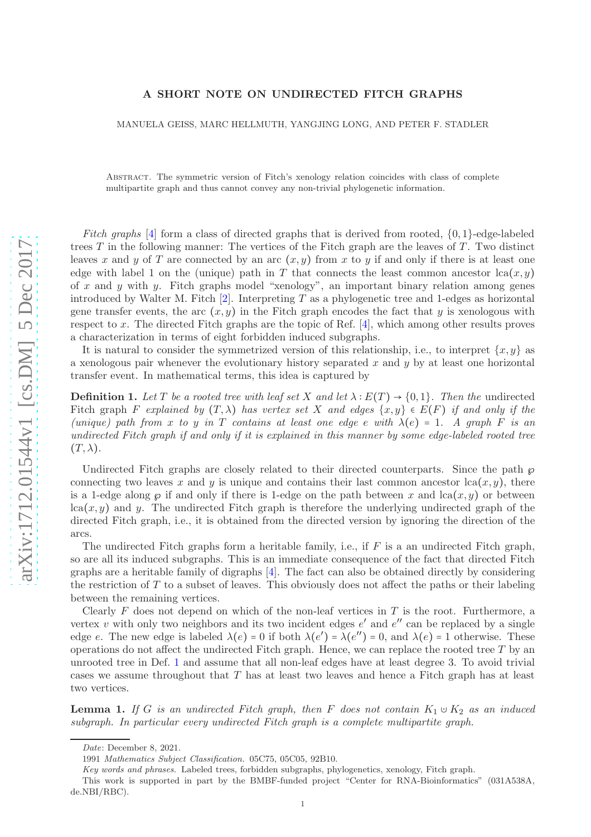## A SHORT NOTE ON UNDIRECTED FITCH GRAPHS

MANUELA GEISS, MARC HELLMUTH, YANGJING LONG, AND PETER F. STADLER

Abstract. The symmetric version of Fitch's xenology relation coincides with class of complete multipartite graph and thus cannot convey any non-trivial phylogenetic information.

Fitch graphs  $[4]$  $[4]$  form a class of directed graphs that is derived from rooted,  $\{0,1\}$ -edge-labeled trees T in the following manner: The vertices of the Fitch graph are the leaves of T. Two distinct leaves x and y of T are connected by an arc  $(x, y)$  from x to y if and only if there is at least one edge with label 1 on the (unique) path in T that connects the least common ancestor  $lca(x, y)$ of x and y with y. Fitch graphs model "xenology", an important binary relation among genes introduced by Walter M. Fitch [ [2\]](#page-2-1). Interpreting T as a phylogenetic tree and 1-edges as horizontal gene transfer events, the arc  $(x, y)$  in the Fitch graph encodes the fact that y is xenologous with respect to x. The directed Fitch graphs are the topic of Ref. [ [4\]](#page-2-0), which among other results proves a characterization in terms of eight forbidden induced subgraphs.

It is natural to consider the symmetrized version of this relationship, i.e., to interpret  $\{x, y\}$  as a xenologous pair whenever the evolutionary history separated  $x$  and  $y$  by at least one horizontal transfer event. In mathematical terms, this idea is captured by

<span id="page-0-0"></span>**Definition 1.** Let T be a rooted tree with leaf set X and let  $\lambda : E(T) \to \{0,1\}$ . Then the undirected Fitch graph F explained by  $(T, \lambda)$  has vertex set X and edges  $\{x, y\} \in E(F)$  if and only if the (unique) path from x to y in T contains at least one edge e with  $\lambda(e) = 1$ . A graph F is an undirected Fitch graph if and only if it is explained in this manner by some edge-labeled rooted tree  $(T, \lambda)$ .

Undirected Fitch graphs are closely related to their directed counterparts. Since the path  $\wp$ connecting two leaves x and y is unique and contains their last common ancestor  $lca(x, y)$ , there is a 1-edge along  $\wp$  if and only if there is 1-edge on the path between x and  $lca(x, y)$  or between  $lca(x, y)$  and y. The undirected Fitch graph is therefore the underlying undirected graph of the directed Fitch graph, i.e., it is obtained from the directed version by ignoring the direction of the arcs.

The undirected Fitch graphs form a heritable family, i.e., if  $F$  is a an undirected Fitch graph, so are all its induced subgraphs. This is an immediate consequence of the fact that directed Fitch graphs are a heritable family of digraphs [ [4\]](#page-2-0). The fact can also be obtained directly by considering the restriction of T to a subset of leaves. This obviously does not affect the paths or their labeling between the remaining vertices.

Clearly  $F$  does not depend on which of the non-leaf vertices in  $T$  is the root. Furthermore, a vertex v with only two neighbors and its two incident edges  $e'$  and  $e''$  can be replaced by a single edge e. The new edge is labeled  $\lambda(e) = 0$  if both  $\lambda(e') = \lambda(e'') = 0$ , and  $\lambda(e) = 1$  otherwise. These operations do not affect the undirected Fitch graph. Hence, we can replace the rooted tree  $T$  by an unrooted tree in Def. [1](#page-0-0) and assume that all non-leaf edges have at least degree 3. To avoid trivial cases we assume throughout that T has at least two leaves and hence a Fitch graph has at least two vertices.

<span id="page-0-1"></span>**Lemma 1.** If G is an undirected Fitch graph, then F does not contain  $K_1 \cup K_2$  as an induced subgraph. In particular every undirected Fitch graph is a complete multipartite graph.

Date: December 8, 2021.

<sup>1991</sup> Mathematics Subject Classification. 05C75, 05C05, 92B10.

Key words and phrases. Labeled trees, forbidden subgraphs, phylogenetics, xenology, Fitch graph.

This work is supported in part by the BMBF-funded project "Center for RNA-Bioinformatics" (031A538A, de.NBI/RBC).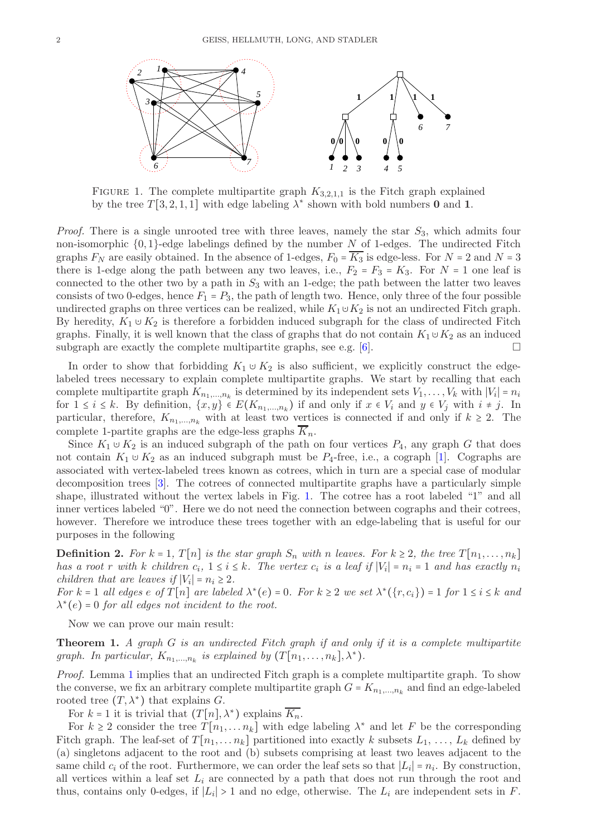

<span id="page-1-0"></span>FIGURE 1. The complete multipartite graph  $K_{3,2,1,1}$  is the Fitch graph explained by the tree  $T[3, 2, 1, 1]$  with edge labeling  $\lambda^*$  shown with bold numbers 0 and 1.

*Proof.* There is a single unrooted tree with three leaves, namely the star  $S_3$ , which admits four non-isomorphic  $\{0,1\}$ -edge labelings defined by the number N of 1-edges. The undirected Fitch graphs  $F_N$  are easily obtained. In the absence of 1-edges,  $F_0 = \overline{K_3}$  is edge-less. For  $N = 2$  and  $N = 3$ there is 1-edge along the path between any two leaves, i.e.,  $F_2 = F_3 = K_3$ . For  $N = 1$  one leaf is connected to the other two by a path in  $S_3$  with an 1-edge; the path between the latter two leaves consists of two 0-edges, hence  $F_1 = P_3$ , the path of length two. Hence, only three of the four possible undirected graphs on three vertices can be realized, while  $K_1 \cup K_2$  is not an undirected Fitch graph. By heredity,  $K_1 \cup K_2$  is therefore a forbidden induced subgraph for the class of undirected Fitch graphs. Finally, it is well known that the class of graphs that do not contain  $K_1 \cup K_2$  as an induced subgraph are exactly the complete multipartite graphs, see e.g.  $[6]$ .

In order to show that forbidding  $K_1 \cup K_2$  is also sufficient, we explicitly construct the edgelabeled trees necessary to explain complete multipartite graphs. We start by recalling that each complete multipartite graph  $K_{n_1,...,n_k}$  is determined by its independent sets  $V_1, \ldots, V_k$  with  $|V_i| = n_i$ for  $1 \leq i \leq k$ . By definition,  $\{x, y\} \in E(K_{n_1, \dots, n_k})$  if and only if  $x \in V_i$  and  $y \in V_j$  with  $i \neq j$ . In particular, therefore,  $K_{n_1,...,n_k}$  with at least two vertices is connected if and only if  $k \geq 2$ . The complete 1-partite graphs are the edge-less graphs  $K_n$ .

Since  $K_1 \cup K_2$  is an induced subgraph of the path on four vertices  $P_4$ , any graph G that does not contain  $K_1 \cup K_2$  as an induced subgraph must be  $P_4$ -free, i.e., a cograph [\[1\]](#page-2-3). Cographs are associated with vertex-labeled trees known as cotrees, which in turn are a special case of modular decomposition trees [\[3\]](#page-2-4). The cotrees of connected multipartite graphs have a particularly simple shape, illustrated without the vertex labels in Fig. [1.](#page-1-0) The cotree has a root labeled "1" and all inner vertices labeled "0". Here we do not need the connection between cographs and their cotrees, however. Therefore we introduce these trees together with an edge-labeling that is useful for our purposes in the following

**Definition 2.** For  $k = 1$ ,  $T[n]$  is the star graph  $S_n$  with n leaves. For  $k \geq 2$ , the tree  $T[n_1, \ldots, n_k]$ has a root r with k children  $c_i$ ,  $1 \leq i \leq k$ . The vertex  $c_i$  is a leaf if  $|V_i| = n_i = 1$  and has exactly  $n_i$ children that are leaves if  $|V_i| = n_i \geq 2$ .

For  $k = 1$  all edges  $e$  of  $T[n]$  are labeled  $\lambda^*(e) = 0$ . For  $k \ge 2$  we set  $\lambda^*(\{r, c_i\}) = 1$  for  $1 \le i \le k$  and  $\lambda^*(e) = 0$  for all edges not incident to the root.

Now we can prove our main result:

<span id="page-1-1"></span>**Theorem 1.** A graph  $G$  is an undirected Fitch graph if and only if it is a complete multipartite graph. In particular,  $K_{n_1,...,n_k}$  is explained by  $(T[n_1,...,n_k],\lambda^*)$ .

Proof. Lemma [1](#page-0-1) implies that an undirected Fitch graph is a complete multipartite graph. To show the converse, we fix an arbitrary complete multipartite graph  $G = K_{n_1,...,n_k}$  and find an edge-labeled rooted tree  $(T, \lambda^*)$  that explains G.

For  $k = 1$  it is trivial that  $(T[n], \lambda^*)$  explains  $\overline{K_n}$ .

For  $k \geq 2$  consider the tree  $T[n_1, \ldots, n_k]$  with edge labeling  $\lambda^*$  and let F be the corresponding Fitch graph. The leaf-set of  $T[n_1, \ldots, n_k]$  partitioned into exactly k subsets  $L_1, \ldots, L_k$  defined by (a) singletons adjacent to the root and (b) subsets comprising at least two leaves adjacent to the same child  $c_i$  of the root. Furthermore, we can order the leaf sets so that  $|L_i| = n_i$ . By construction, all vertices within a leaf set  $L_i$  are connected by a path that does not run through the root and thus, contains only 0-edges, if  $|L_i| > 1$  and no edge, otherwise. The  $L_i$  are independent sets in F.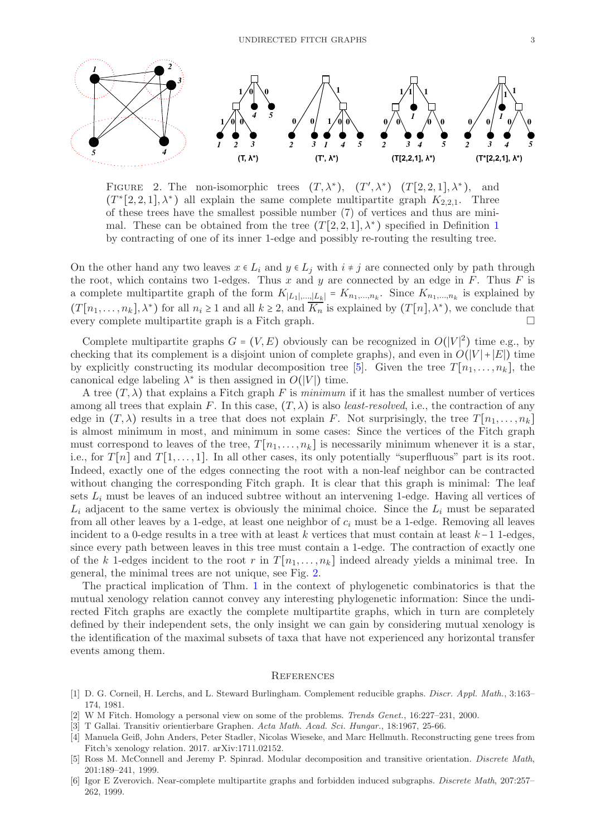

<span id="page-2-6"></span>FIGURE 2. The non-isomorphic trees  $(T, \lambda^*)$ ,  $(T', \lambda^*)$   $(T[2, 2, 1], \lambda^*)$ , and  $(T^*[2,2,1],\lambda^*)$  all explain the same complete multipartite graph  $K_{2,2,1}$ . Three of these trees have the smallest possible number (7) of vertices and thus are minimal. These can be obtained from the tree  $(T[2,2,1],\lambda^*)$  $(T[2,2,1],\lambda^*)$  $(T[2,2,1],\lambda^*)$  specified in Definition 1 by contracting of one of its inner 1-edge and possibly re-routing the resulting tree.

On the other hand any two leaves  $x \in L_i$  and  $y \in L_j$  with  $i \neq j$  are connected only by path through the root, which contains two 1-edges. Thus x and y are connected by an edge in F. Thus F is a complete multipartite graph of the form  $K_{|L_1|,\dots,|L_k|} = K_{n_1,\dots,n_k}$ . Since  $K_{n_1,\dots,n_k}$  is explained by  $(T[n_1,\ldots,n_k],\lambda^*)$  for all  $n_i\geq 1$  and all  $k\geq 2$ , and  $\overline{K_n}$  is explained by  $(T[n],\lambda^*)$ , we conclude that every complete multipartite graph is a Fitch graph.

Complete multipartite graphs  $G = (V, E)$  obviously can be recognized in  $O(|V|^2)$  time e.g., by checking that its complement is a disjoint union of complete graphs), and even in  $O(|V|+|E|)$  time by explicitly constructing its modular decomposition tree [\[5\]](#page-2-5). Given the tree  $T[n_1, \ldots, n_k]$ , the canonical edge labeling  $\lambda^*$  is then assigned in  $O(|V|)$  time.

A tree  $(T, \lambda)$  that explains a Fitch graph F is minimum if it has the smallest number of vertices among all trees that explain F. In this case,  $(T, \lambda)$  is also least-resolved, i.e., the contraction of any edge in  $(T, \lambda)$  results in a tree that does not explain F. Not surprisingly, the tree  $T[n_1, \ldots, n_k]$ is almost minimum in most, and minimum in some cases: Since the vertices of the Fitch graph must correspond to leaves of the tree,  $T[n_1, \ldots, n_k]$  is necessarily minimum whenever it is a star, i.e., for  $T[n]$  and  $T[1, \ldots, 1]$ . In all other cases, its only potentially "superfluous" part is its root. Indeed, exactly one of the edges connecting the root with a non-leaf neighbor can be contracted without changing the corresponding Fitch graph. It is clear that this graph is minimal: The leaf sets  $L_i$  must be leaves of an induced subtree without an intervening 1-edge. Having all vertices of  $L_i$  adjacent to the same vertex is obviously the minimal choice. Since the  $L_i$  must be separated from all other leaves by a 1-edge, at least one neighbor of  $c_i$  must be a 1-edge. Removing all leaves incident to a 0-edge results in a tree with at least k vertices that must contain at least  $k-1$  1-edges, since every path between leaves in this tree must contain a 1-edge. The contraction of exactly one of the k 1-edges incident to the root r in  $T[n_1, \ldots, n_k]$  indeed already yields a minimal tree. In general, the minimal trees are not unique, see Fig. [2.](#page-2-6)

The practical implication of Thm. [1](#page-1-1) in the context of phylogenetic combinatorics is that the mutual xenology relation cannot convey any interesting phylogenetic information: Since the undirected Fitch graphs are exactly the complete multipartite graphs, which in turn are completely defined by their independent sets, the only insight we can gain by considering mutual xenology is the identification of the maximal subsets of taxa that have not experienced any horizontal transfer events among them.

## **REFERENCES**

- <span id="page-2-3"></span>[1] D. G. Corneil, H. Lerchs, and L. Steward Burlingham. Complement reducible graphs. Discr. Appl. Math., 3:163– 174, 1981.
- <span id="page-2-4"></span><span id="page-2-1"></span>[2] W M Fitch. Homology a personal view on some of the problems. Trends Genet., 16:227–231, 2000.
- <span id="page-2-0"></span>[3] T Gallai. Transitiv orientierbare Graphen. Acta Math. Acad. Sci. Hungar., 18:1967, 25-66.
- [4] Manuela Geiß, John Anders, Peter Stadler, Nicolas Wieseke, and Marc Hellmuth. Reconstructing gene trees from Fitch's xenology relation. 2017. arXiv:1711.02152.
- <span id="page-2-5"></span>[5] Ross M. McConnell and Jeremy P. Spinrad. Modular decomposition and transitive orientation. Discrete Math, 201:189–241, 1999.
- <span id="page-2-2"></span>[6] Igor E Zverovich. Near-complete multipartite graphs and forbidden induced subgraphs. Discrete Math, 207:257– 262, 1999.